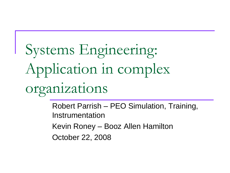# Systems Engineering: Application in complex organizations

Robert Parrish – PEO Simulation, Training, Instrumentation

Kevin Roney – Booz Allen Hamilton

October 22, 2008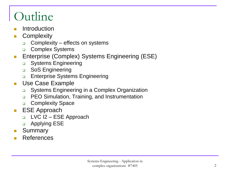## Outline

- **Introduction**
- **Complexity** 
	- □ Complexity effects on systems
	- **D** Complex Systems
- **Enterprise (Complex) Systems Engineering (ESE)** 
	- **Q** Systems Engineering
	- **D** SoS Engineering
	- **Enterprise Systems Engineering**
- **Use Case Example** 
	- □ Systems Engineering in a Complex Organization
	- **D** PEO Simulation, Training, and Instrumentation
	- **D** Complexity Space
- **ESE Approach** 
	- $\Box$  LVC I2 ESE Approach
	- **a** Applying ESE
- **Bummary**
- References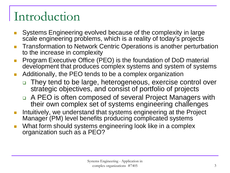### Introduction

- Systems Engineering evolved because of the complexity in large scale engineering problems, which is a reality of today's projects
- Transformation to Network Centric Operations is another perturbation to the increase in complexity
- Program Executive Office (PEO) is the foundation of DoD material development that produces complex systems and system of systems
- Additionally, the PEO tends to be a complex organization
	- $\Box$  They tend to be large, heterogeneous, exercise control over strategic objectives, and consist of portfolio of projects
	- □ A PEO is often composed of several Project Managers with their own complex set of systems engineering challenges
- Intuitively, we understand that systems engineering at the Project Manager (PM) level benefits producing complicated systems
- What form should systems engineering look like in a complex organization such as a PEO?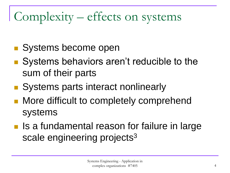## Complexity – effects on systems

- Systems become open
- Systems behaviors aren't reducible to the sum of their parts
- Systems parts interact nonlinearly
- More difficult to completely comprehend systems
- **If a** Is a fundamental reason for failure in large scale engineering projects<sup>3</sup>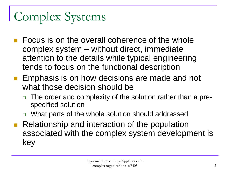## Complex Systems

- Focus is on the overall coherence of the whole complex system – without direct, immediate attention to the details while typical engineering tends to focus on the functional description
- **Emphasis is on how decisions are made and not** what those decision should be
	- The order and complexity of the solution rather than a prespecified solution
	- □ What parts of the whole solution should addressed
- Relationship and interaction of the population associated with the complex system development is key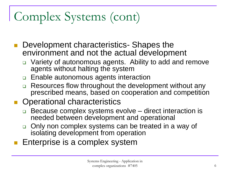## Complex Systems (cont)

- Development characteristics- Shapes the environment and not the actual development
	- Variety of autonomous agents. Ability to add and remove agents without halting the system
	- □ Enable autonomous agents interaction
	- Resources flow throughout the development without any prescribed means, based on cooperation and competition
- Operational characteristics
	- □ Because complex systems evolve direct interaction is needed between development and operational
	- Only non complex systems can be treated in a way of isolating development from operation
- <span id="page-5-0"></span>Enterprise is a complex system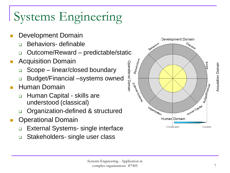## Systems Engineering

- Development Domain
	- Behaviors- definable
	- □ Outcome/Reward predictable/static
- **Acquisition Domain** 
	- Scope linear/closed boundary
	- Budget/Financial –systems owned
- Human Domain
	- Human Capital skills are understood (classical)
	- □ Organization-defined & structured
- Operational Domain
	- □ External Systems- single interface
	- □ Stakeholders- single user class

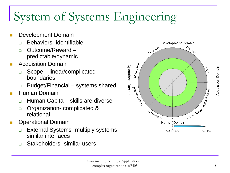## System of Systems Engineering

- **Development Domain** 
	- □ Behaviors- identifiable
	- □ Outcome/Reward predictable/dynamic
- **Acquisition Domain** 
	- Scope linear/complicated boundaries
	- Budget/Financial systems shared
- **Human Domain** 
	- Human Capital skills are diverse
	- **Organization- complicated &** relational
- **Conducter Contract Operational Domain** 
	- External Systems- multiply systems similar interfaces
	- □ Stakeholders- similar users

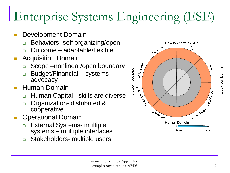## Enterprise Systems Engineering (ESE)

- Development Domain
	- **Behaviors- self organizing/open**
	- Outcome adaptable/flexible
- Acquisition Domain
	- Scope –nonlinear/open boundary
	- Budget/Financial systems advocacy
- Human Domain
	- □ Human Capital skills are diverse
	- o Organization- distributed & cooperative
- Operational Domain
	- □ External Systems- multiple systems – multiple interfaces
	- □ Stakeholders- multiple users

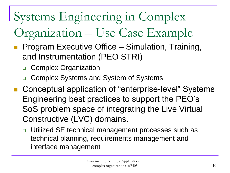## Systems Engineering in Complex

## Organization – Use Case Example

- Program Executive Office Simulation, Training, and Instrumentation (PEO STRI)
	- Complex Organization
	- Complex Systems and System of Systems
- Conceptual application of "enterprise-level" Systems Engineering best practices to support the PEO's SoS problem space of integrating the Live Virtual Constructive (LVC) domains.
	- □ Utilized SE technical management processes such as technical planning, requirements management and interface management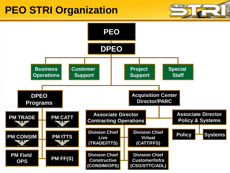#### **PEO STRI Organization**



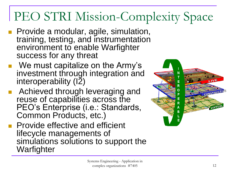## PEO STRI Mission-Complexity Space

- **Provide a modular, agile, simulation,** training, testing, and instrumentation environment to enable Warfighter success for any threat
- We must capitalize on the Army's investment through integration and interoperability (I2)
- Achieved through leveraging and reuse of capabilities across the PEO's Enterprise (i.e.: Standards, Common Products, etc.)
- **Provide effective and efficient** lifecycle managements of simulations solutions to support the **Warfighter**

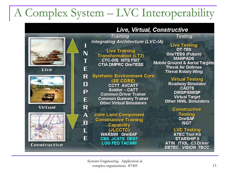### A Complex System – LVC Interoperability



#### Live, Virtual, Constructive

**Training Integrating Architecture (LVC-IA)** 

**Live Training Transformation (LT2) CTC-OIS HITS FSIT CTIA DMPRC OneTESS** 

**Synthetic Environment Core** (SE CORE)

**CCTT AVCATT** Soldier - CATT **Common Driver Trainer Common Gunnery Trainer Other Virtual Simulators** 

**Joint Land Component Constructive Training** Capability (JLCCTC) **WARSIM OneSAF CBS JCATS DBST LOG FED TACSIM** 

**Testing** 

**Live Testing** OT-TES **OneTESS (Future) MANPADS Mobile Ground & Aerial Targets Threat Air Defense Threat Rotary Wing** 

#### **Virtual Testing**

**Roadway Simulator CADTS DIRSP/MIRSP Virtual Target Other HWIL Simulators** 

**Constructive** 

**Testing OneSAF ISGT** 

#### **LVC Testing**

**ATEC Tool Kit STARSHIP II ATIN ITIOL C3 Driver** DETEC VISION TBCC

Systems Engineering - Application in  $complex organizations #7405$  13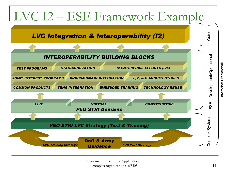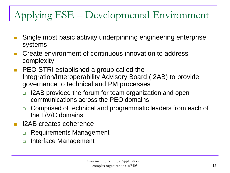#### Applying ESE – Developmental Environment

- Single most basic activity underpinning engineering enterprise systems
- Create environment of continuous innovation to address complexity
- **PEO STRI established a group called the** Integration/Interoperability Advisory Board (I2AB) to provide governance to technical and PM processes
	- □ I2AB provided the forum for team organization and open communications across the PEO domains
	- □ Comprised of technical and programmatic leaders from each of the L/V/C domains
- I2AB creates coherence
	- **Requirements Management**
	- **Interface Management**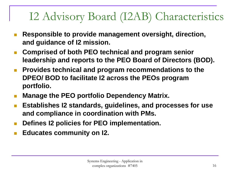### I2 Advisory Board (I2AB) Characteristics

- **Responsible to provide management oversight, direction, and guidance of I2 mission.**
- **Comprised of both PEO technical and program senior leadership and reports to the PEO Board of Directors (BOD).**
- **Provides technical and program recommendations to the DPEO/ BOD to facilitate I2 across the PEOs program portfolio.**
- **Manage the PEO portfolio Dependency Matrix.**
- **Establishes I2 standards, guidelines, and processes for use and compliance in coordination with PMs.**
- Defines **I2 policies for PEO implementation.**
- **Educates community on I2.**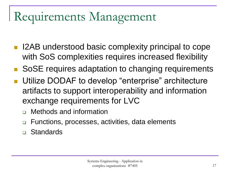## Requirements Management

- I2AB understood basic complexity principal to cope with SoS complexities requires increased flexibility
- SoSE requires adaptation to changing requirements
- Utilize DODAF to develop "enterprise" architecture artifacts to support interoperability and information exchange requirements for LVC
	- Methods and information
	- Functions, processes, activities, data elements
	- Standards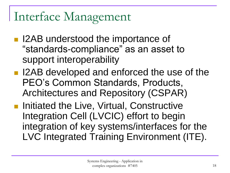## Interface Management

- I2AB understood the importance of "standards-compliance" as an asset to support interoperability
- I2AB developed and enforced the use of the PEO's Common Standards, Products, Architectures and Repository (CSPAR)
- **Initiated the Live, Virtual, Constructive** Integration Cell (LVCIC) effort to begin integration of key systems/interfaces for the LVC Integrated Training Environment (ITE).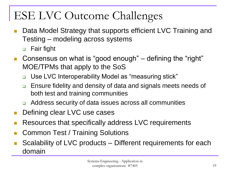### ESE LVC Outcome Challenges

- Data Model Strategy that supports efficient LVC Training and Testing – modeling across systems
	- □ Fair fight
- Consensus on what is "good enough" defining the "right" MOE/TPMs that apply to the SoS
	- □ Use LVC Interoperability Model as "measuring stick"
	- □ Ensure fidelity and density of data and signals meets needs of both test and training communities
	- □ Address security of data issues across all communities
- **Defining clear LVC use cases**
- Resources that specifically address LVC requirements
- Common Test / Training Solutions
- Scalability of LVC products Different requirements for each domain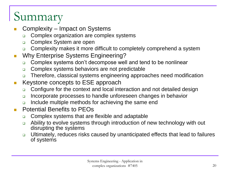## Summary

- Complexity Impact on Systems
	- **□** Complex organization are complex systems
	- **Complex System are open**
	- Complexity makes it more difficult to completely comprehend a system
- **Now Enterprise Systems Engineering?** 
	- □ Complex systems don't decompose well and tend to be nonlinear
	- **Complex systems behaviors are not predictable**
	- □ Therefore, classical systems engineering approaches need modification
- **Keystone concepts to ESE approach** 
	- □ Configure for the context and local interaction and not detailed design
	- **Incorporate processes to handle unforeseen changes in behavior**
	- **□** Include multiple methods for achieving the same end
- **Potential Benefits to PEOs** 
	- **□** Complex systems that are flexible and adaptable
	- Ability to evolve systems through introduction of new technology with out disrupting the systems
	- □ Ultimately, reduces risks caused by unanticipated effects that lead to failures of systems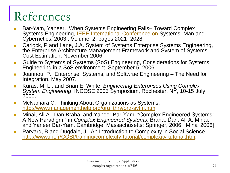## References

- Bar-Yam, Yaneer. When Systems Engineering Fails– Toward Complex Systems Engineering, **IEEE** International Conference on Systems, Man and Cybernetics, 2003., Volume: 2, pages 2021- 2028.
- **Carlock, P and Lane, J.A. System of Systems Enterprise Systems Engineering,** the Enterprise Architecture Management Framework and System of Systems Cost Estimation, November 2006.
- Guide to Systems of Systems (SoS) Engineering, Considerations for Systems Engineering in a SoS environment, September 5, 2006.
- Joannou, P. Enterprise, Systems, and Softwrae Engineering The Need for Integration, May 2007.
- Kuras, M. L., and Brian E. White, *Engineering Enterprises Using Complex-System Engineering*, INCOSE 2005 Symposium, Rochester, NY, 10-15 July 2005.
- **Ne-Mullet Alterator C. Thinking About Organizations as Systems,** [http://www.managementhelp.org/org\\_thry/org-sytm.htm](http://www.managementhelp.org/org_thry/org-sytm.htm).
- **Minai, Ali A., Dan Braha, and Yaneer Bar-Yam. "Complex Engineered Systems:** A New Paradigm," in *Complex Engineered Systems*, Braha, Dan, Ali A. Minai, and Yaneer Bar-Yam. Cambridge, Massachusetts: Springer, 2006. [Minai 2006]
- **Parvard, B and Dugdale, J. An Introduction to Complexity in Social Science.** [http://www.irit.fr/COSI/training/complexity-tutorial/complexity-tutorial.htm.](http://www.irit.fr/COSI/training/complexity-tutorial/complexity-tutorial.htm)